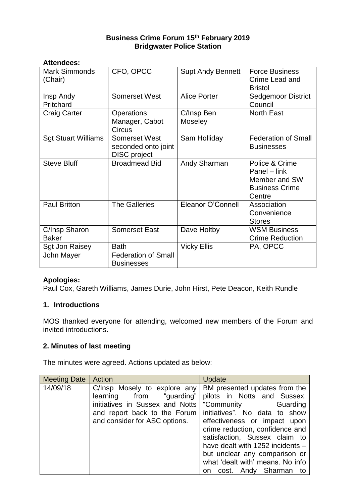# **Business Crime Forum 15th February 2019 Bridgwater Police Station**

| <b>Attendees:</b>               |                                                             |                              |                                                                                    |
|---------------------------------|-------------------------------------------------------------|------------------------------|------------------------------------------------------------------------------------|
| <b>Mark Simmonds</b><br>(Chair) | CFO, OPCC                                                   | <b>Supt Andy Bennett</b>     | <b>Force Business</b><br>Crime Lead and<br><b>Bristol</b>                          |
| Insp Andy<br>Pritchard          | <b>Somerset West</b>                                        | <b>Alice Porter</b>          | <b>Sedgemoor District</b><br>Council                                               |
| <b>Craig Carter</b>             | <b>Operations</b><br>Manager, Cabot<br><b>Circus</b>        | C/Insp Ben<br><b>Moseley</b> | <b>North East</b>                                                                  |
| <b>Sgt Stuart Williams</b>      | Somerset West<br>seconded onto joint<br><b>DISC</b> project | Sam Holliday                 | <b>Federation of Small</b><br><b>Businesses</b>                                    |
| <b>Steve Bluff</b>              | <b>Broadmead Bid</b>                                        | Andy Sharman                 | Police & Crime<br>Panel – link<br>Member and SW<br><b>Business Crime</b><br>Centre |
| <b>Paul Britton</b>             | <b>The Galleries</b>                                        | Eleanor O'Connell            | Association<br>Convenience<br><b>Stores</b>                                        |
| C/Insp Sharon<br><b>Baker</b>   | <b>Somerset East</b>                                        | Dave Holtby                  | <b>WSM Business</b><br><b>Crime Reduction</b>                                      |
| Sgt Jon Raisey                  | <b>Bath</b>                                                 | <b>Vicky Ellis</b>           | PA, OPCC                                                                           |
| John Mayer                      | <b>Federation of Small</b><br><b>Businesses</b>             |                              |                                                                                    |

# **Apologies:**

Paul Cox, Gareth Williams, James Durie, John Hirst, Pete Deacon, Keith Rundle

#### **1. Introductions**

MOS thanked everyone for attending, welcomed new members of the Forum and invited introductions.

# **2. Minutes of last meeting**

The minutes were agreed. Actions updated as below:

| <b>Meeting Date</b> | Action                                                                                                                                                                                       | Update                                                                                                                                                                                                                                                                                                                       |
|---------------------|----------------------------------------------------------------------------------------------------------------------------------------------------------------------------------------------|------------------------------------------------------------------------------------------------------------------------------------------------------------------------------------------------------------------------------------------------------------------------------------------------------------------------------|
| 14/09/18            | C/Insp Mosely to explore any   BM presented updates from the<br>learning from "guarding"<br>initiatives in Sussex and Notts<br>and report back to the Forum<br>and consider for ASC options. | pilots in Notts and Sussex.<br>"Community Guarding<br>initiatives". No data to show<br>effectiveness or impact upon<br>crime reduction, confidence and<br>satisfaction, Sussex claim to<br>have dealt with 1252 incidents -<br>but unclear any comparison or<br>what 'dealt with' means. No info<br>on cost. Andy Sharman to |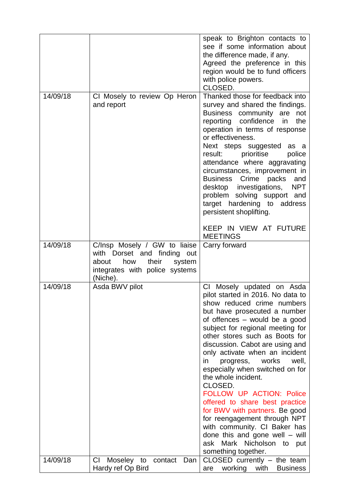|          |                                                                                                                                              | speak to Brighton contacts to<br>see if some information about<br>the difference made, if any.<br>Agreed the preference in this<br>region would be to fund officers<br>with police powers.<br>CLOSED.                                                                                                                                                                                                                                                                                                                                                                                                                                                                                           |
|----------|----------------------------------------------------------------------------------------------------------------------------------------------|-------------------------------------------------------------------------------------------------------------------------------------------------------------------------------------------------------------------------------------------------------------------------------------------------------------------------------------------------------------------------------------------------------------------------------------------------------------------------------------------------------------------------------------------------------------------------------------------------------------------------------------------------------------------------------------------------|
| 14/09/18 | CI Mosely to review Op Heron<br>and report                                                                                                   | Thanked those for feedback into<br>survey and shared the findings.<br>Business community<br>not<br>are<br>reporting confidence in<br>the<br>operation in terms of response<br>or effectiveness.<br>Next steps suggested<br>as a<br>prioritise<br>result:<br>police<br>attendance where aggravating<br>circumstances, improvement in<br>Business Crime packs<br>and<br><b>NPT</b><br>desktop investigations,<br>problem solving support and<br>target hardening to address<br>persistent shoplifting.                                                                                                                                                                                            |
|          |                                                                                                                                              | KEEP IN VIEW AT FUTURE<br><b>MEETINGS</b>                                                                                                                                                                                                                                                                                                                                                                                                                                                                                                                                                                                                                                                       |
| 14/09/18 | C/Insp Mosely / GW to liaise<br>with Dorset and finding out<br>how<br>their<br>about<br>system<br>integrates with police systems<br>(Niche). | Carry forward                                                                                                                                                                                                                                                                                                                                                                                                                                                                                                                                                                                                                                                                                   |
| 14/09/18 | Asda BWV pilot                                                                                                                               | <b>CI</b><br>Mosely updated on Asda<br>pilot started in 2016. No data to<br>show reduced crime numbers<br>but have prosecuted a number<br>of offences - would be a good<br>subject for regional meeting for<br>other stores such as Boots for<br>discussion. Cabot are using and<br>only activate when an incident<br>works<br>well,<br>in.<br>progress,<br>especially when switched on for<br>the whole incident.<br>CLOSED.<br><b>FOLLOW UP ACTION: Police</b><br>offered to share best practice<br>for BWV with partners. Be good<br>for reengagement through NPT<br>with community. CI Baker has<br>done this and gone well $-$ will<br>ask Mark Nicholson to<br>put<br>something together. |
| 14/09/18 | Moseley<br>СI<br>Dan<br>to<br>contact<br>Hardy ref Op Bird                                                                                   | $CLOSED$ currently $-$ the team<br>working<br>with<br><b>Business</b><br>are                                                                                                                                                                                                                                                                                                                                                                                                                                                                                                                                                                                                                    |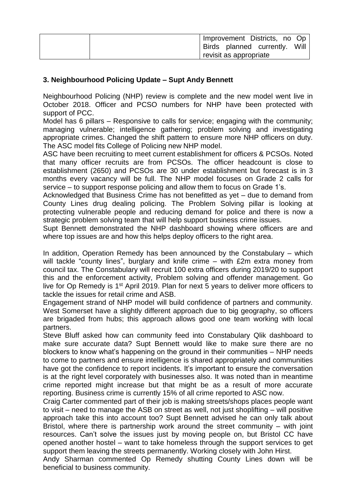| Improvement Districts, no Op  |
|-------------------------------|
| Birds planned currently. Will |
| revisit as appropriate        |

## **3. Neighbourhood Policing Update – Supt Andy Bennett**

Neighbourhood Policing (NHP) review is complete and the new model went live in October 2018. Officer and PCSO numbers for NHP have been protected with support of PCC.

Model has 6 pillars – Responsive to calls for service; engaging with the community; managing vulnerable; intelligence gathering; problem solving and investigating appropriate crimes. Changed the shift pattern to ensure more NHP officers on duty. The ASC model fits College of Policing new NHP model.

ASC have been recruiting to meet current establishment for officers & PCSOs. Noted that many officer recruits are from PCSOs. The officer headcount is close to establishment (2650) and PCSOs are 30 under establishment but forecast is in 3 months every vacancy will be full. The NHP model focuses on Grade 2 calls for service – to support response policing and allow them to focus on Grade 1's.

Acknowledged that Business Crime has not benefitted as yet – due to demand from County Lines drug dealing policing. The Problem Solving pillar is looking at protecting vulnerable people and reducing demand for police and there is now a strategic problem solving team that will help support business crime issues.

Supt Bennett demonstrated the NHP dashboard showing where officers are and where top issues are and how this helps deploy officers to the right area.

In addition, Operation Remedy has been announced by the Constabulary – which will tackle "county lines", burglary and knife crime – with £2m extra money from council tax. The Constabulary will recruit 100 extra officers during 2019/20 to support this and the enforcement activity, Problem solving and offender management. Go live for Op Remedy is 1<sup>st</sup> April 2019. Plan for next 5 years to deliver more officers to tackle the issues for retail crime and ASB.

Engagement strand of NHP model will build confidence of partners and community. West Somerset have a slightly different approach due to big geography, so officers are brigaded from hubs; this approach allows good one team working with local partners.

Steve Bluff asked how can community feed into Constabulary Qlik dashboard to make sure accurate data? Supt Bennett would like to make sure there are no blockers to know what's happening on the ground in their communities – NHP needs to come to partners and ensure intelligence is shared appropriately and communities have got the confidence to report incidents. It's important to ensure the conversation is at the right level corporately with businesses also. It was noted than in meantime crime reported might increase but that might be as a result of more accurate reporting. Business crime is currently 15% of all crime reported to ASC now.

Craig Carter commented part of their job is making streets/shops places people want to visit – need to manage the ASB on street as well, not just shoplifting – will positive approach take this into account too? Supt Bennett advised he can only talk about Bristol, where there is partnership work around the street community – with joint resources. Can't solve the issues just by moving people on, but Bristol CC have opened another hostel – want to take homeless through the support services to get support them leaving the streets permanently. Working closely with John Hirst.

Andy Sharman commented Op Remedy shutting County Lines down will be beneficial to business community.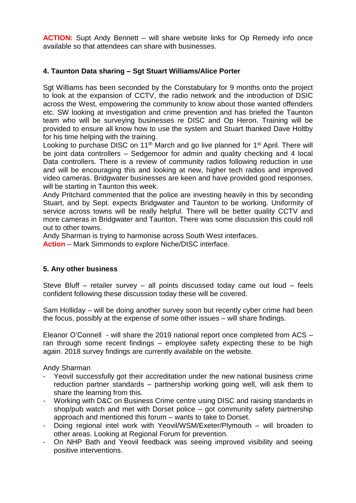**ACTION:** Supt Andy Bennett – will share website links for Op Remedy info once available so that attendees can share with businesses.

## **4. Taunton Data sharing – Sgt Stuart Williams/Alice Porter**

Sgt Williams has been seconded by the Constabulary for 9 months onto the project to look at the expansion of CCTV, the radio network and the introduction of DSIC across the West, empowering the community to know about those wanted offenders etc. SW looking at investigation and crime prevention and has briefed the Taunton team who will be surveying businesses re DISC and Op Heron. Training will be provided to ensure all know how to use the system and Stuart thanked Dave Holtby for his time helping with the training.

Looking to purchase DISC on 11<sup>th</sup> March and go live planned for 1<sup>st</sup> April. There will be joint data controllers – Sedgemoor for admin and quality checking and 4 local Data controllers. There is a review of community radios following reduction in use and will be encouraging this and looking at new, higher tech radios and improved video cameras. Bridgwater businesses are keen and have provided good responses, will be starting in Taunton this week.

Andy Pritchard commented that the police are investing heavily in this by seconding Stuart, and by Sept. expects Bridgwater and Taunton to be working. Uniformity of service across towns will be really helpful. There will be better quality CCTV and more cameras in Bridgwater and Taunton. There was some discussion this could roll out to other towns.

Andy Sharman is trying to harmonise across South West interfaces.

**Action** – Mark Simmonds to explore Niche/DISC interface.

## **5. Any other business**

Steve Bluff – retailer survey – all points discussed today came out loud – feels confident following these discussion today these will be covered.

Sam Holliday – will be doing another survey soon but recently cyber crime had been the focus, possibly at the expense of some other issues – will share findings.

Eleanor O'Connell - will share the 2019 national report once completed from ACS – ran through some recent findings – employee safety expecting these to be high again. 2018 survey findings are currently available on the website.

Andy Sharman

- Yeovil successfully got their accreditation under the new national business crime reduction partner standards – partnership working going well, will ask them to share the learning from this.
- Working with D&C on Business Crime centre using DISC and raising standards in shop/pub watch and met with Dorset police – got community safety partnership approach and mentioned this forum – wants to take to Dorset.
- Doing regional intel work with Yeovil/WSM/Exeter/Plymouth will broaden to other areas. Looking at Regional Forum for prevention.
- On NHP Bath and Yeovil feedback was seeing improved visibility and seeing positive interventions.